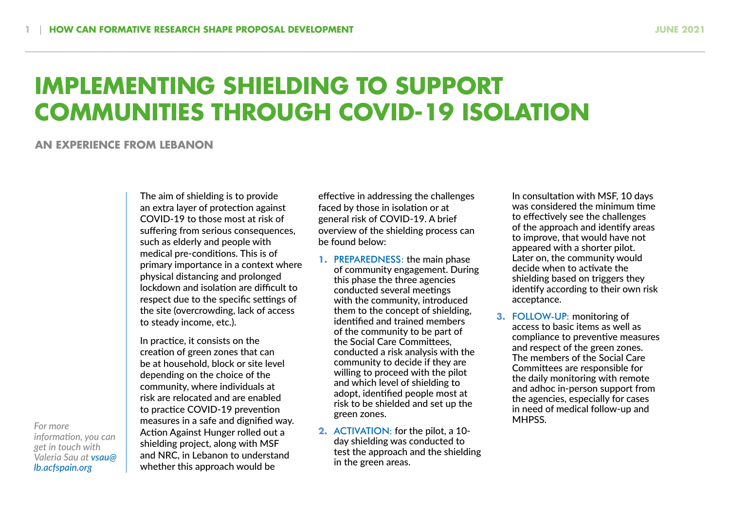## **IMPLEMENTING SHIELDING TO SUPPORT COMMUNITIES THROUGH COVID-19 ISOLATION**

## **AN EXPERIENCE FROM LEBANON**

The aim of shielding is to provide an extra layer of protection against COVID-19 to those most at risk of suffering from serious consequences, such as elderly and people with medical pre-conditions. This is of primary importance in a context where physical distancing and prolonged lockdown and isolation are difficult to respect due to the specific settings of the site (overcrowding, lack of access to steady income, etc.).

In practice, it consists on the creation of green zones that can be at household, block or site level depending on the choice of the community, where individuals at risk are relocated and are enabled to practice COVID-19 prevention For more **the contract of the same state and dignified way.** Because the state and the state and dignified way. **A**<br>**Active and the contract of the state of the pilot** and a state of the pilot and a state of the pilot and Action Against Hunger rolled out a shielding project, along with MSF and NRC, in Lebanon to understand whether this approach would be

effective in addressing the challenges faced by those in isolation or at general risk of COVID-19. A brief overview of the shielding process can be found below:

- **1.** PREPAREDNESS: the main phase of community engagement. During this phase the three agencies conducted several meetings with the community, introduced them to the concept of shielding, identified and trained members of the community to be part of the Social Care Committees, conducted a risk analysis with the community to decide if they are willing to proceed with the pilot and which level of shielding to adopt, identified people most at risk to be shielded and set up the green zones.
- **2.** ACTIVATION: for the pilot, a 10 day shielding was conducted to test the approach and the shielding in the green areas.

In consultation with MSF, 10 days was considered the minimum time to effectively see the challenges of the approach and identify areas to improve, that would have not appeared with a shorter pilot. Later on, the community would decide when to activate the shielding based on triggers they identify according to their own risk acceptance.

**3.** FOLLOW-UP: monitoring of access to basic items as well as compliance to preventive measures and respect of the green zones. The members of the Social Care Committees are responsible for the daily monitoring with remote and adhoc in-person support from the agencies, especially for cases in need of medical follow-up and

*information, you can get in touch with Valeria Sau at vsau@ lb.acfspain.org*